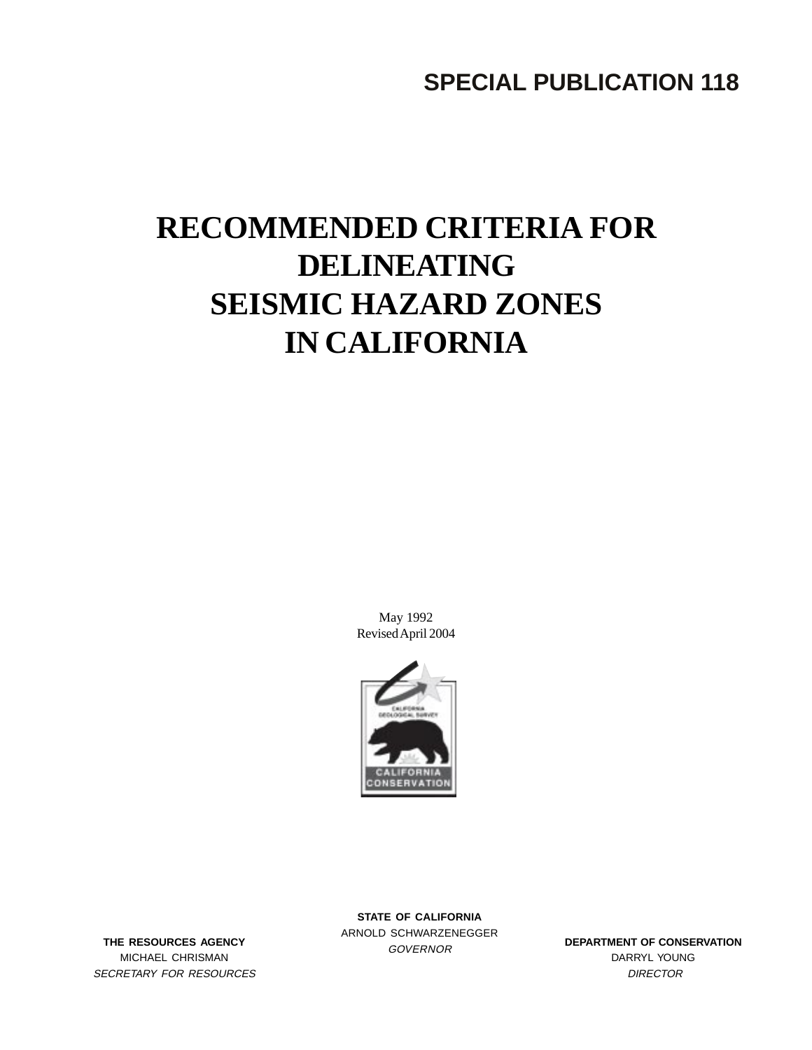**SPECIAL PUBLICATION 118**

# **RECOMMENDED CRITERIA FOR DELINEATING SEISMIC HAZARD ZONES IN CALIFORNIA**

May 1992 Revised April 2004



THE RESOURCES AGENCY<br>
GOVERNOR MICHAEL CHRISMAN SECRETARY FOR RESOURCES

**STATE OF CALIFORNIA** ARNOLD SCHWARZENEGGER

**DEPARTMENT OF CONSERVATION** DARRYL YOUNG **DIRECTOR**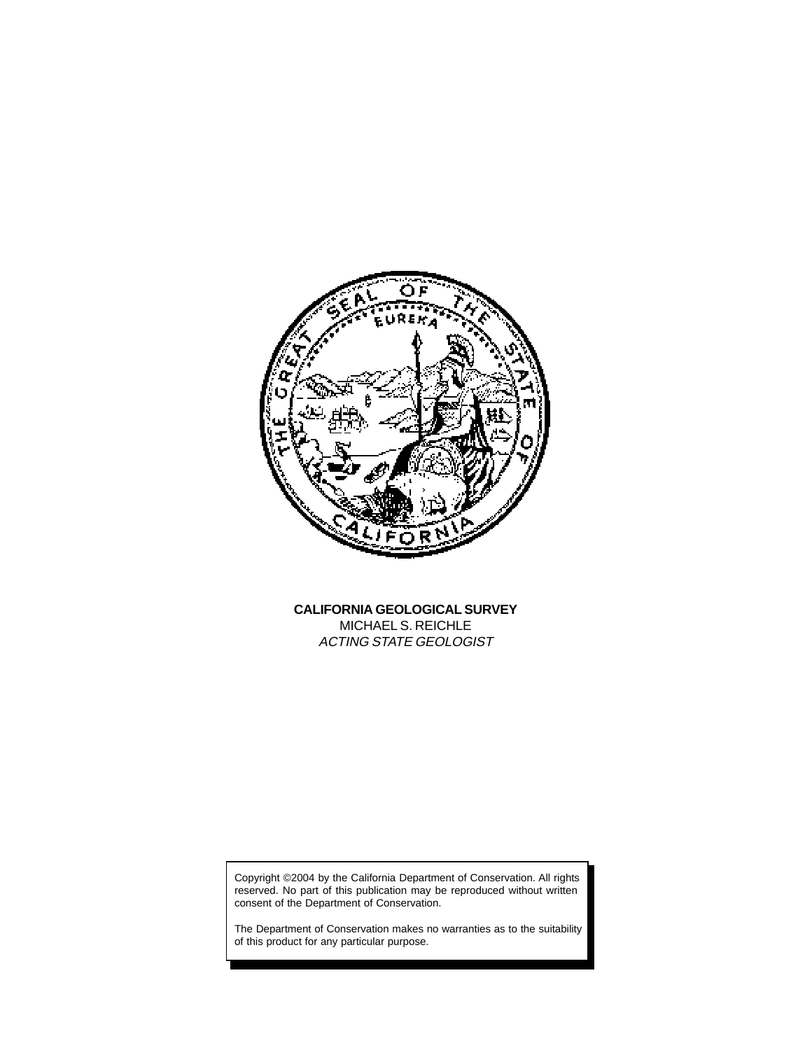

**CALIFORNIA GEOLOGICAL SURVEY** MICHAEL S. REICHLE ACTING STATE GEOLOGIST

Copyright ©2004 by the California Department of Conservation. All rights reserved. No part of this publication may be reproduced without written consent of the Department of Conservation.

The Department of Conservation makes no warranties as to the suitability of this product for any particular purpose.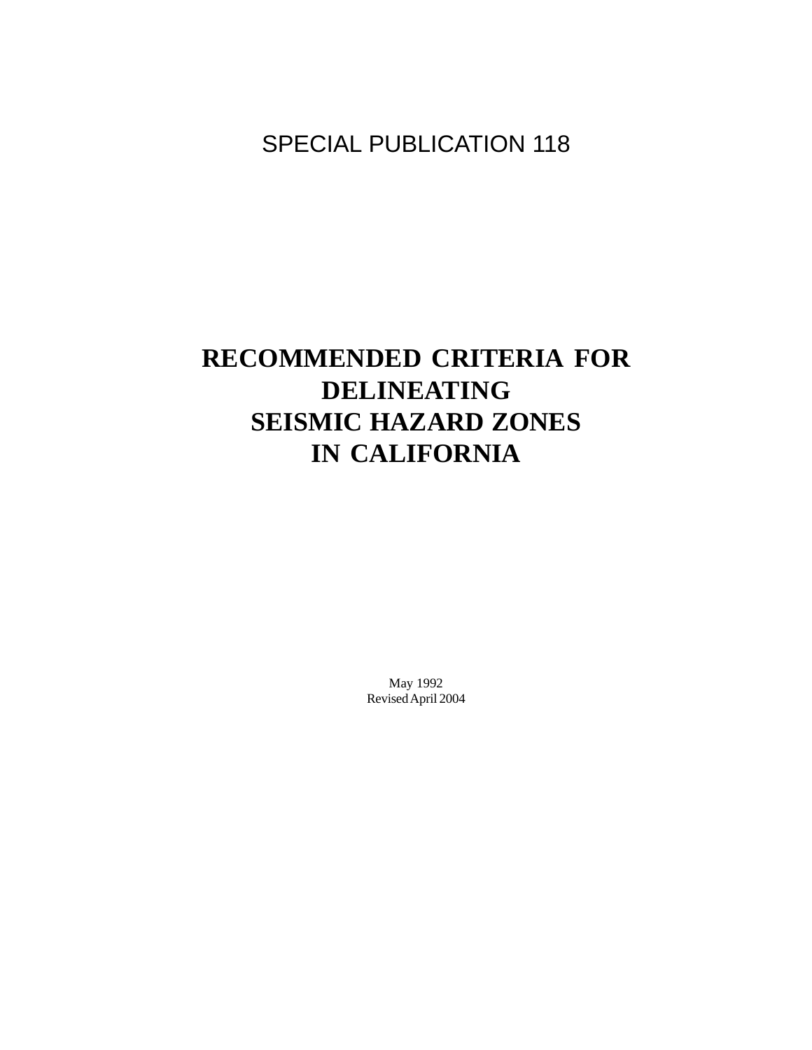# SPECIAL PUBLICATION 118

# **RECOMMENDED CRITERIA FOR DELINEATING SEISMIC HAZARD ZONES IN CALIFORNIA**

May 1992 Revised April 2004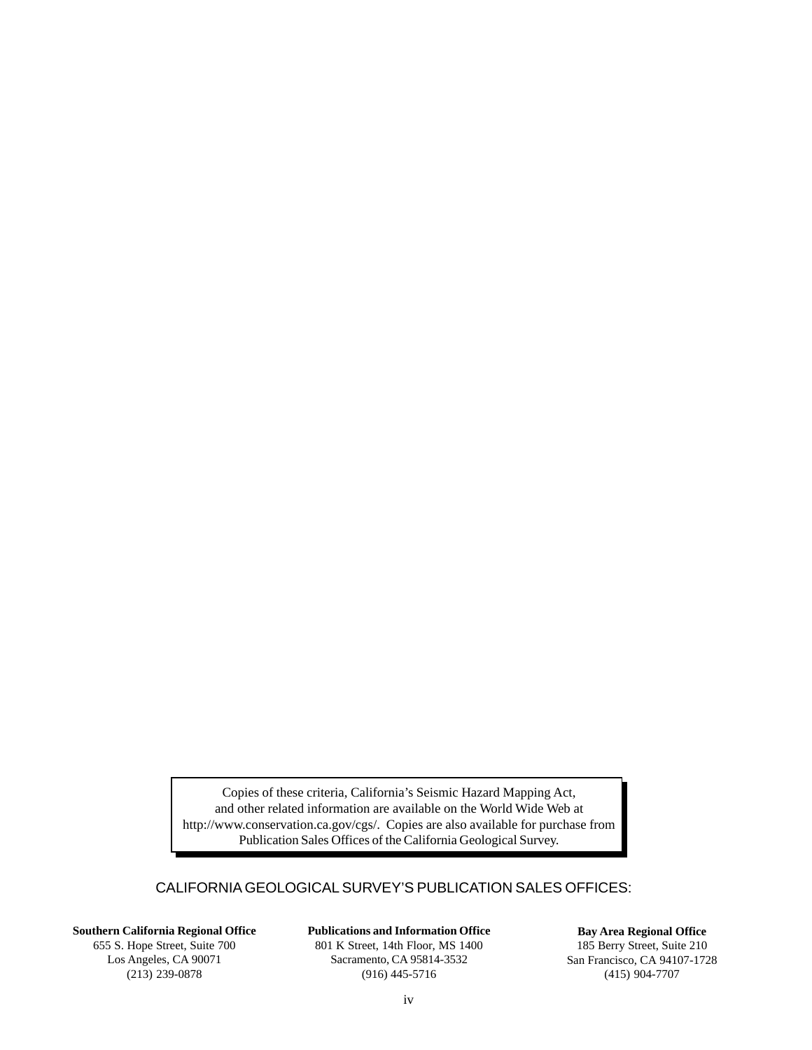Copies of these criteria, California's Seismic Hazard Mapping Act, and other related information are available on the World Wide Web at http://www.conservation.ca.gov/cgs/. Copies are also available for purchase from Publication Sales Offices of the California Geological Survey.

## CALIFORNIA GEOLOGICAL SURVEY'S PUBLICATION SALES OFFICES:

**Southern California Regional Office** 655 S. Hope Street, Suite 700 Los Angeles, CA 90071 (213) 239-0878

**Publications and Information Office**

801 K Street, 14th Floor, MS 1400 Sacramento, CA 95814-3532 (916) 445-5716

**Bay Area Regional Office** 185 Berry Street, Suite 210 San Francisco, CA 94107-1728 (415) 904-7707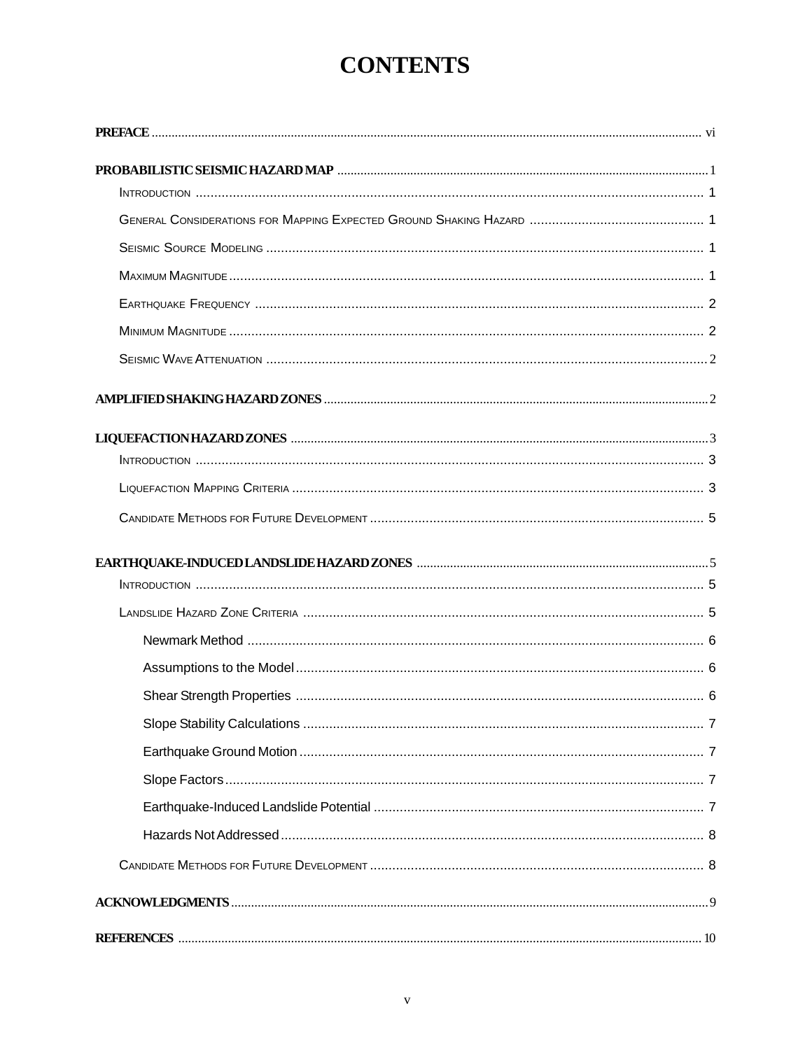# **CONTENTS**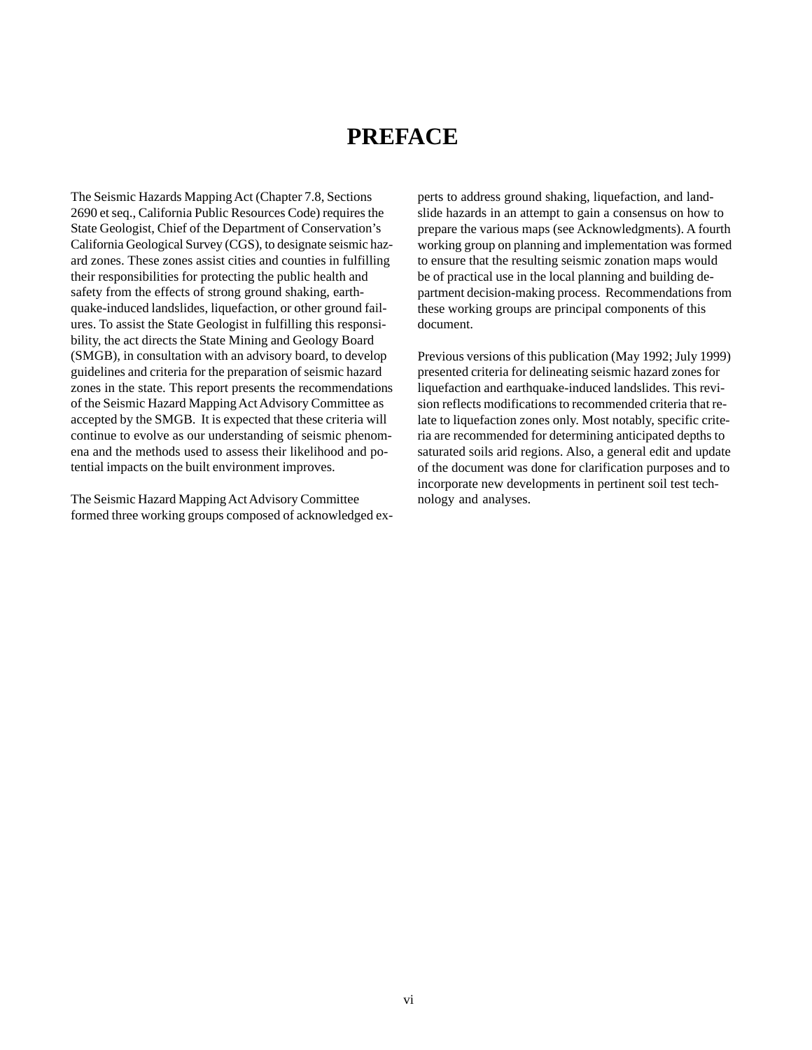# **PREFACE**

The Seismic Hazards Mapping Act (Chapter 7.8, Sections 2690 et seq., California Public Resources Code) requires the State Geologist, Chief of the Department of Conservation's California Geological Survey (CGS), to designate seismic hazard zones. These zones assist cities and counties in fulfilling their responsibilities for protecting the public health and safety from the effects of strong ground shaking, earthquake-induced landslides, liquefaction, or other ground failures. To assist the State Geologist in fulfilling this responsibility, the act directs the State Mining and Geology Board (SMGB), in consultation with an advisory board, to develop guidelines and criteria for the preparation of seismic hazard zones in the state. This report presents the recommendations of the Seismic Hazard Mapping Act Advisory Committee as accepted by the SMGB. It is expected that these criteria will continue to evolve as our understanding of seismic phenomena and the methods used to assess their likelihood and potential impacts on the built environment improves.

The Seismic Hazard Mapping Act Advisory Committee formed three working groups composed of acknowledged experts to address ground shaking, liquefaction, and landslide hazards in an attempt to gain a consensus on how to prepare the various maps (see Acknowledgments). A fourth working group on planning and implementation was formed to ensure that the resulting seismic zonation maps would be of practical use in the local planning and building department decision-making process. Recommendations from these working groups are principal components of this document.

Previous versions of this publication (May 1992; July 1999) presented criteria for delineating seismic hazard zones for liquefaction and earthquake-induced landslides. This revision reflects modifications to recommended criteria that relate to liquefaction zones only. Most notably, specific criteria are recommended for determining anticipated depths to saturated soils arid regions. Also, a general edit and update of the document was done for clarification purposes and to incorporate new developments in pertinent soil test technology and analyses.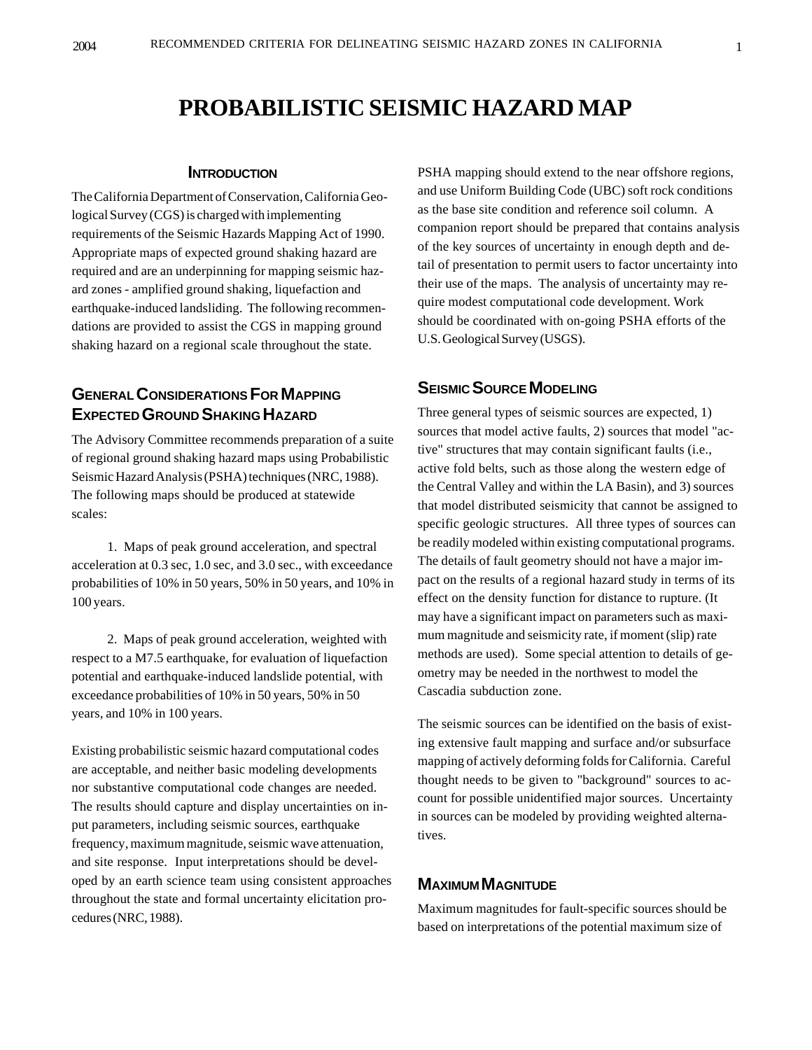# **PROBABILISTIC SEISMIC HAZARD MAP**

#### **INTRODUCTION**

The California Department of Conservation, California Geological Survey (CGS) is charged with implementing requirements of the Seismic Hazards Mapping Act of 1990. Appropriate maps of expected ground shaking hazard are required and are an underpinning for mapping seismic hazard zones - amplified ground shaking, liquefaction and earthquake-induced landsliding. The following recommendations are provided to assist the CGS in mapping ground shaking hazard on a regional scale throughout the state.

# **GENERAL CONSIDERATIONS FOR MAPPING EXPECTED GROUND SHAKING HAZARD**

The Advisory Committee recommends preparation of a suite of regional ground shaking hazard maps using Probabilistic Seismic Hazard Analysis (PSHA) techniques (NRC, 1988). The following maps should be produced at statewide scales:

1. Maps of peak ground acceleration, and spectral acceleration at 0.3 sec, 1.0 sec, and 3.0 sec., with exceedance probabilities of 10% in 50 years, 50% in 50 years, and 10% in 100 years.

2. Maps of peak ground acceleration, weighted with respect to a M7.5 earthquake, for evaluation of liquefaction potential and earthquake-induced landslide potential, with exceedance probabilities of 10% in 50 years, 50% in 50 years, and 10% in 100 years.

Existing probabilistic seismic hazard computational codes are acceptable, and neither basic modeling developments nor substantive computational code changes are needed. The results should capture and display uncertainties on input parameters, including seismic sources, earthquake frequency, maximum magnitude, seismic wave attenuation, and site response. Input interpretations should be developed by an earth science team using consistent approaches throughout the state and formal uncertainty elicitation procedures (NRC, 1988).

PSHA mapping should extend to the near offshore regions, and use Uniform Building Code (UBC) soft rock conditions as the base site condition and reference soil column. A companion report should be prepared that contains analysis of the key sources of uncertainty in enough depth and detail of presentation to permit users to factor uncertainty into their use of the maps. The analysis of uncertainty may require modest computational code development. Work should be coordinated with on-going PSHA efforts of the U.S. Geological Survey (USGS).

# **SEISMIC SOURCE MODELING**

Three general types of seismic sources are expected, 1) sources that model active faults, 2) sources that model "active" structures that may contain significant faults (i.e., active fold belts, such as those along the western edge of the Central Valley and within the LA Basin), and 3) sources that model distributed seismicity that cannot be assigned to specific geologic structures. All three types of sources can be readily modeled within existing computational programs. The details of fault geometry should not have a major impact on the results of a regional hazard study in terms of its effect on the density function for distance to rupture. (It may have a significant impact on parameters such as maximum magnitude and seismicity rate, if moment (slip) rate methods are used). Some special attention to details of geometry may be needed in the northwest to model the Cascadia subduction zone.

The seismic sources can be identified on the basis of existing extensive fault mapping and surface and/or subsurface mapping of actively deforming folds for California. Careful thought needs to be given to "background" sources to account for possible unidentified major sources. Uncertainty in sources can be modeled by providing weighted alternatives.

### **MAXIMUM MAGNITUDE**

Maximum magnitudes for fault-specific sources should be based on interpretations of the potential maximum size of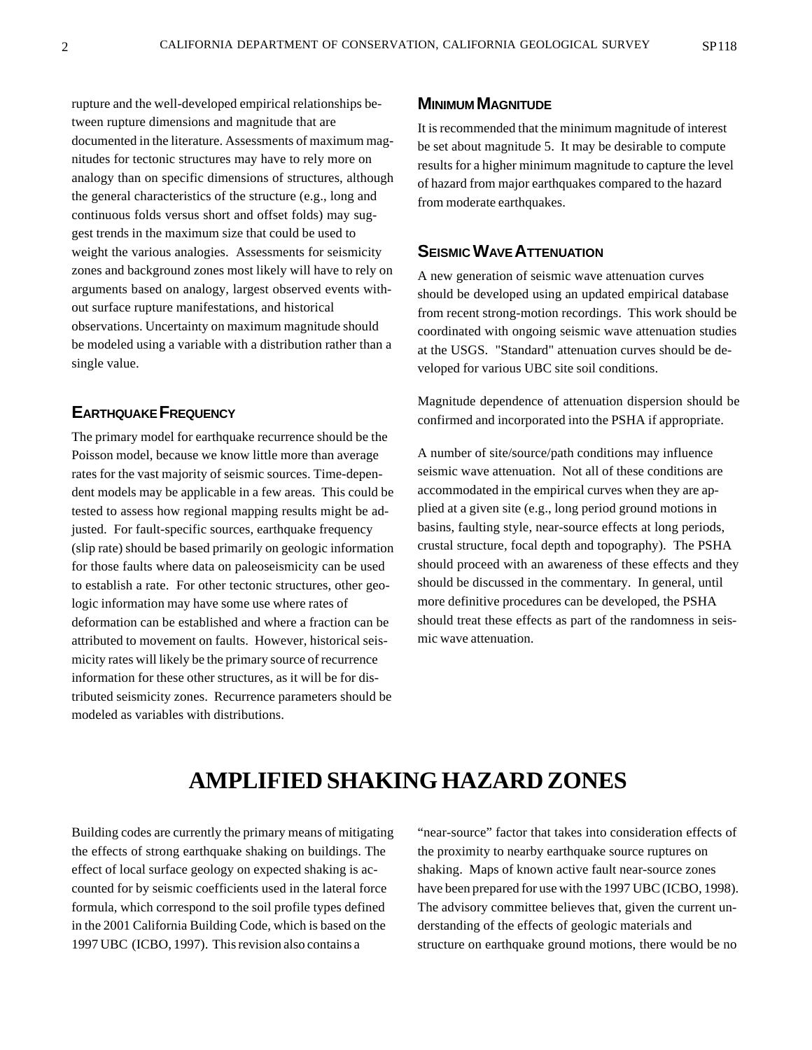rupture and the well-developed empirical relationships between rupture dimensions and magnitude that are documented in the literature. Assessments of maximum magnitudes for tectonic structures may have to rely more on analogy than on specific dimensions of structures, although the general characteristics of the structure (e.g., long and continuous folds versus short and offset folds) may suggest trends in the maximum size that could be used to weight the various analogies. Assessments for seismicity zones and background zones most likely will have to rely on arguments based on analogy, largest observed events without surface rupture manifestations, and historical observations. Uncertainty on maximum magnitude should be modeled using a variable with a distribution rather than a single value.

# **EARTHQUAKE FREQUENCY**

The primary model for earthquake recurrence should be the Poisson model, because we know little more than average rates for the vast majority of seismic sources. Time-dependent models may be applicable in a few areas. This could be tested to assess how regional mapping results might be adjusted. For fault-specific sources, earthquake frequency (slip rate) should be based primarily on geologic information for those faults where data on paleoseismicity can be used to establish a rate. For other tectonic structures, other geologic information may have some use where rates of deformation can be established and where a fraction can be attributed to movement on faults. However, historical seismicity rates will likely be the primary source of recurrence information for these other structures, as it will be for distributed seismicity zones. Recurrence parameters should be modeled as variables with distributions.

### **MINIMUM MAGNITUDE**

It is recommended that the minimum magnitude of interest be set about magnitude 5. It may be desirable to compute results for a higher minimum magnitude to capture the level of hazard from major earthquakes compared to the hazard from moderate earthquakes.

### **SEISMIC WAVE ATTENUATION**

A new generation of seismic wave attenuation curves should be developed using an updated empirical database from recent strong-motion recordings. This work should be coordinated with ongoing seismic wave attenuation studies at the USGS. "Standard" attenuation curves should be developed for various UBC site soil conditions.

Magnitude dependence of attenuation dispersion should be confirmed and incorporated into the PSHA if appropriate.

A number of site/source/path conditions may influence seismic wave attenuation. Not all of these conditions are accommodated in the empirical curves when they are applied at a given site (e.g., long period ground motions in basins, faulting style, near-source effects at long periods, crustal structure, focal depth and topography). The PSHA should proceed with an awareness of these effects and they should be discussed in the commentary. In general, until more definitive procedures can be developed, the PSHA should treat these effects as part of the randomness in seismic wave attenuation.

# **AMPLIFIED SHAKING HAZARD ZONES**

Building codes are currently the primary means of mitigating the effects of strong earthquake shaking on buildings. The effect of local surface geology on expected shaking is accounted for by seismic coefficients used in the lateral force formula, which correspond to the soil profile types defined in the 2001 California Building Code, which is based on the 1997 UBC (ICBO, 1997). This revision also contains a

"near-source" factor that takes into consideration effects of the proximity to nearby earthquake source ruptures on shaking. Maps of known active fault near-source zones have been prepared for use with the 1997 UBC (ICBO, 1998). The advisory committee believes that, given the current understanding of the effects of geologic materials and structure on earthquake ground motions, there would be no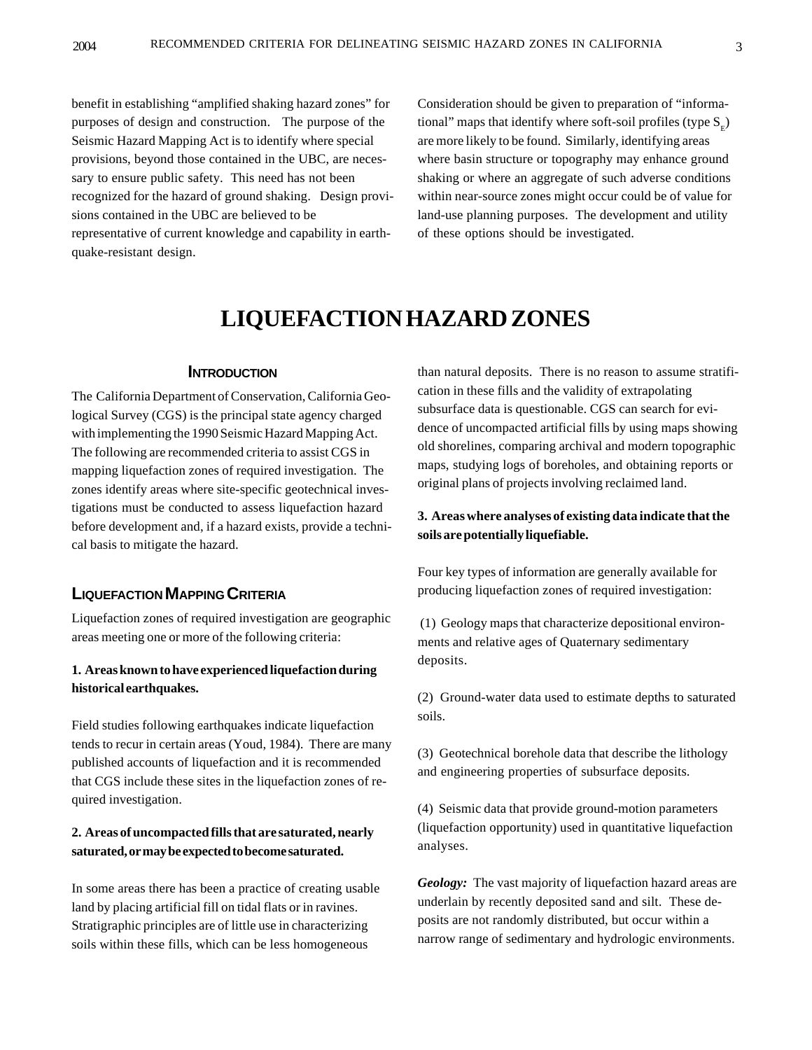benefit in establishing "amplified shaking hazard zones" for purposes of design and construction. The purpose of the Seismic Hazard Mapping Act is to identify where special provisions, beyond those contained in the UBC, are necessary to ensure public safety. This need has not been recognized for the hazard of ground shaking. Design provisions contained in the UBC are believed to be representative of current knowledge and capability in earthquake-resistant design.

Consideration should be given to preparation of "informational" maps that identify where soft-soil profiles (type  $S<sub>r</sub>$ ) are more likely to be found. Similarly, identifying areas where basin structure or topography may enhance ground shaking or where an aggregate of such adverse conditions within near-source zones might occur could be of value for land-use planning purposes. The development and utility of these options should be investigated.

# **LIQUEFACTION HAZARD ZONES**

#### **INTRODUCTION**

The California Department of Conservation, California Geological Survey (CGS) is the principal state agency charged with implementing the 1990 Seismic Hazard Mapping Act. The following are recommended criteria to assist CGS in mapping liquefaction zones of required investigation. The zones identify areas where site-specific geotechnical investigations must be conducted to assess liquefaction hazard before development and, if a hazard exists, provide a technical basis to mitigate the hazard.

# **LIQUEFACTION MAPPING CRITERIA**

Liquefaction zones of required investigation are geographic areas meeting one or more of the following criteria:

#### **1. Areas known to have experienced liquefaction during historical earthquakes.**

Field studies following earthquakes indicate liquefaction tends to recur in certain areas (Youd, 1984). There are many published accounts of liquefaction and it is recommended that CGS include these sites in the liquefaction zones of required investigation.

### **2. Areas of uncompacted fills that are saturated, nearly saturated, or may be expected to become saturated.**

In some areas there has been a practice of creating usable land by placing artificial fill on tidal flats or in ravines. Stratigraphic principles are of little use in characterizing soils within these fills, which can be less homogeneous

than natural deposits. There is no reason to assume stratification in these fills and the validity of extrapolating subsurface data is questionable. CGS can search for evidence of uncompacted artificial fills by using maps showing old shorelines, comparing archival and modern topographic maps, studying logs of boreholes, and obtaining reports or original plans of projects involving reclaimed land.

#### **3. Areas where analyses of existing data indicate that the soils are potentially liquefiable.**

Four key types of information are generally available for producing liquefaction zones of required investigation:

 (1) Geology maps that characterize depositional environments and relative ages of Quaternary sedimentary deposits.

(2) Ground-water data used to estimate depths to saturated soils.

(3) Geotechnical borehole data that describe the lithology and engineering properties of subsurface deposits.

(4) Seismic data that provide ground-motion parameters (liquefaction opportunity) used in quantitative liquefaction analyses.

*Geology:* The vast majority of liquefaction hazard areas are underlain by recently deposited sand and silt. These deposits are not randomly distributed, but occur within a narrow range of sedimentary and hydrologic environments.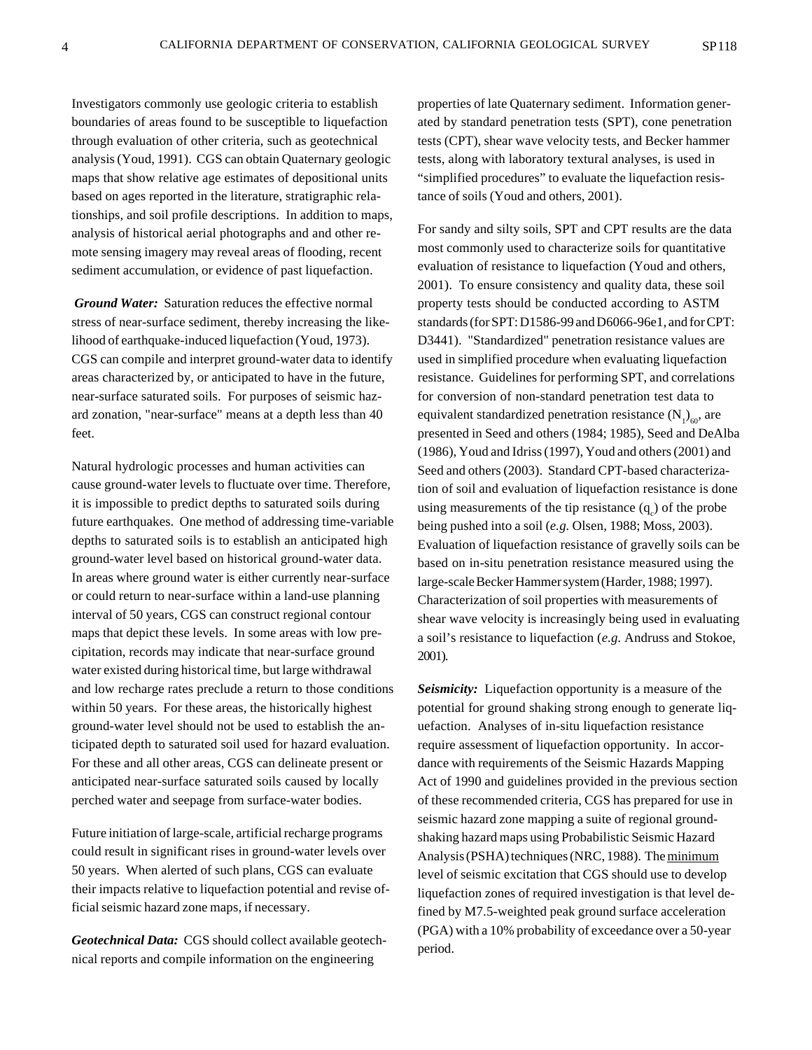Investigators commonly use geologic criteria to establish boundaries of areas found to be susceptible to liquefaction through evaluation of other criteria, such as geotechnical analysis (Youd, 1991). CGS can obtain Quaternary geologic maps that show relative age estimates of depositional units based on ages reported in the literature, stratigraphic relationships, and soil profile descriptions. In addition to maps, analysis of historical aerial photographs and and other remote sensing imagery may reveal areas of flooding, recent sediment accumulation, or evidence of past liquefaction.

*Ground Water:* Saturation reduces the effective normal stress of near-surface sediment, thereby increasing the likelihood of earthquake-induced liquefaction (Youd, 1973). CGS can compile and interpret ground-water data to identify areas characterized by, or anticipated to have in the future, near-surface saturated soils. For purposes of seismic hazard zonation, "near-surface" means at a depth less than 40 feet.

Natural hydrologic processes and human activities can cause ground-water levels to fluctuate over time. Therefore, it is impossible to predict depths to saturated soils during future earthquakes. One method of addressing time-variable depths to saturated soils is to establish an anticipated high ground-water level based on historical ground-water data. In areas where ground water is either currently near-surface or could return to near-surface within a land-use planning interval of 50 years, CGS can construct regional contour maps that depict these levels. In some areas with low precipitation, records may indicate that near-surface ground water existed during historical time, but large withdrawal and low recharge rates preclude a return to those conditions within 50 years. For these areas, the historically highest ground-water level should not be used to establish the anticipated depth to saturated soil used for hazard evaluation. For these and all other areas, CGS can delineate present or anticipated near-surface saturated soils caused by locally perched water and seepage from surface-water bodies.

Future initiation of large-scale, artificial recharge programs could result in significant rises in ground-water levels over 50 years. When alerted of such plans, CGS can evaluate their impacts relative to liquefaction potential and revise official seismic hazard zone maps, if necessary.

*Geotechnical Data:* CGS should collect available geotechnical reports and compile information on the engineering

properties of late Quaternary sediment. Information generated by standard penetration tests (SPT), cone penetration tests (CPT), shear wave velocity tests, and Becker hammer tests, along with laboratory textural analyses, is used in "simplified procedures" to evaluate the liquefaction resistance of soils (Youd and others, 2001).

For sandy and silty soils, SPT and CPT results are the data most commonly used to characterize soils for quantitative evaluation of resistance to liquefaction (Youd and others, 2001). To ensure consistency and quality data, these soil property tests should be conducted according to ASTM standards (for SPT: D1586-99 and D6066-96e1, and for CPT: D3441). "Standardized" penetration resistance values are used in simplified procedure when evaluating liquefaction resistance. Guidelines for performing SPT, and correlations for conversion of non-standard penetration test data to equivalent standardized penetration resistance  $(N_1)_{60}$ , are presented in Seed and others (1984; 1985), Seed and DeAlba (1986), Youd and Idriss (1997), Youd and others (2001) and Seed and others (2003). Standard CPT-based characterization of soil and evaluation of liquefaction resistance is done using measurements of the tip resistance  $(q_c)$  of the probe being pushed into a soil (*e.g.* Olsen, 1988; Moss, 2003). Evaluation of liquefaction resistance of gravelly soils can be based on in-situ penetration resistance measured using the large-scale Becker Hammer system (Harder, 1988; 1997). Characterization of soil properties with measurements of shear wave velocity is increasingly being used in evaluating a soil's resistance to liquefaction (*e.g.* Andruss and Stokoe, 2001).

*Seismicity:* Liquefaction opportunity is a measure of the potential for ground shaking strong enough to generate liquefaction. Analyses of in-situ liquefaction resistance require assessment of liquefaction opportunity. In accordance with requirements of the Seismic Hazards Mapping Act of 1990 and guidelines provided in the previous section of these recommended criteria, CGS has prepared for use in seismic hazard zone mapping a suite of regional groundshaking hazard maps using Probabilistic Seismic Hazard Analysis (PSHA) techniques (NRC, 1988). The minimum level of seismic excitation that CGS should use to develop liquefaction zones of required investigation is that level defined by M7.5-weighted peak ground surface acceleration (PGA) with a 10% probability of exceedance over a 50-year period.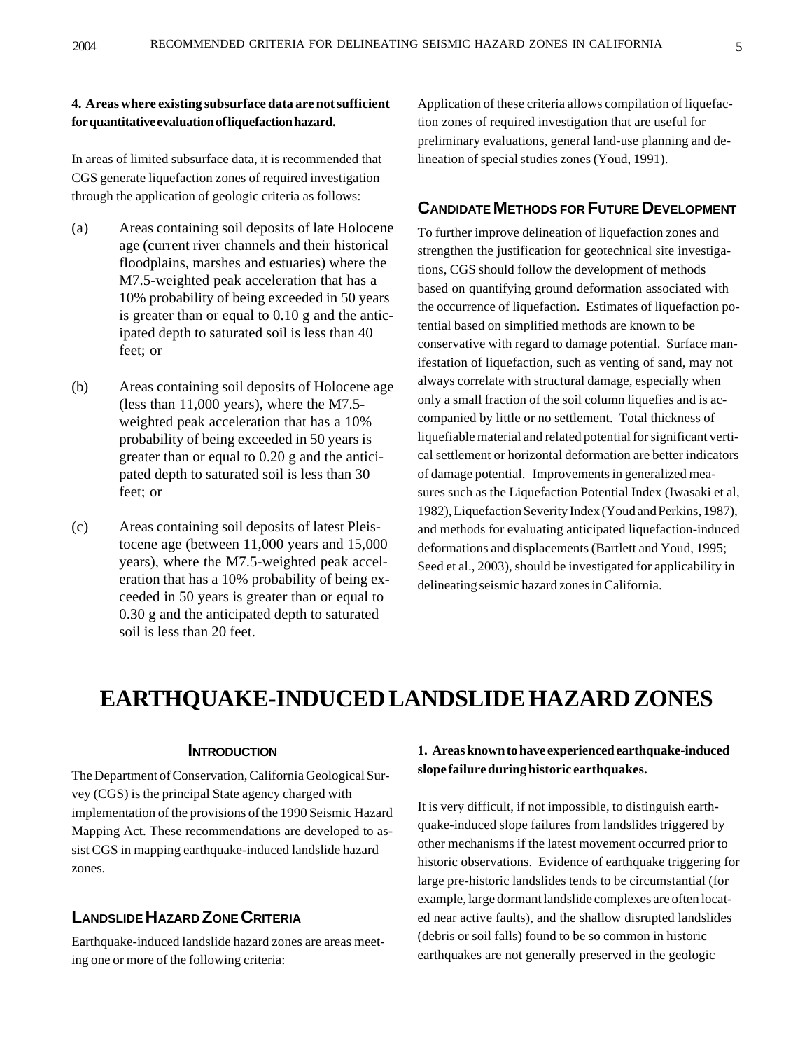### **4. Areas where existing subsurface data are not sufficient for quantitative evaluation of liquefaction hazard.**

In areas of limited subsurface data, it is recommended that CGS generate liquefaction zones of required investigation through the application of geologic criteria as follows:

- (a) Areas containing soil deposits of late Holocene age (current river channels and their historical floodplains, marshes and estuaries) where the M7.5-weighted peak acceleration that has a 10% probability of being exceeded in 50 years is greater than or equal to 0.10 g and the anticipated depth to saturated soil is less than 40 feet; or
- (b) Areas containing soil deposits of Holocene age (less than 11,000 years), where the M7.5 weighted peak acceleration that has a 10% probability of being exceeded in 50 years is greater than or equal to 0.20 g and the anticipated depth to saturated soil is less than 30 feet; or
- (c) Areas containing soil deposits of latest Pleistocene age (between 11,000 years and 15,000 years), where the M7.5-weighted peak acceleration that has a 10% probability of being exceeded in 50 years is greater than or equal to 0.30 g and the anticipated depth to saturated soil is less than 20 feet.

Application of these criteria allows compilation of liquefaction zones of required investigation that are useful for preliminary evaluations, general land-use planning and delineation of special studies zones (Youd, 1991).

### **CANDIDATE METHODS FOR FUTURE DEVELOPMENT**

To further improve delineation of liquefaction zones and strengthen the justification for geotechnical site investigations, CGS should follow the development of methods based on quantifying ground deformation associated with the occurrence of liquefaction. Estimates of liquefaction potential based on simplified methods are known to be conservative with regard to damage potential. Surface manifestation of liquefaction, such as venting of sand, may not always correlate with structural damage, especially when only a small fraction of the soil column liquefies and is accompanied by little or no settlement. Total thickness of liquefiable material and related potential for significant vertical settlement or horizontal deformation are better indicators of damage potential. Improvements in generalized measures such as the Liquefaction Potential Index (Iwasaki et al, 1982), Liquefaction Severity Index (Youd and Perkins, 1987), and methods for evaluating anticipated liquefaction-induced deformations and displacements (Bartlett and Youd, 1995; Seed et al., 2003), should be investigated for applicability in delineating seismic hazard zones in California.

# **EARTHQUAKE-INDUCED LANDSLIDE HAZARD ZONES**

#### **INTRODUCTION**

The Department of Conservation, California Geological Survey (CGS) is the principal State agency charged with implementation of the provisions of the 1990 Seismic Hazard Mapping Act. These recommendations are developed to assist CGS in mapping earthquake-induced landslide hazard zones.

# **LANDSLIDE HAZARD ZONE CRITERIA**

Earthquake-induced landslide hazard zones are areas meeting one or more of the following criteria:

#### **1. Areas known to have experienced earthquake-induced slope failure during historic earthquakes.**

It is very difficult, if not impossible, to distinguish earthquake-induced slope failures from landslides triggered by other mechanisms if the latest movement occurred prior to historic observations. Evidence of earthquake triggering for large pre-historic landslides tends to be circumstantial (for example, large dormant landslide complexes are often located near active faults), and the shallow disrupted landslides (debris or soil falls) found to be so common in historic earthquakes are not generally preserved in the geologic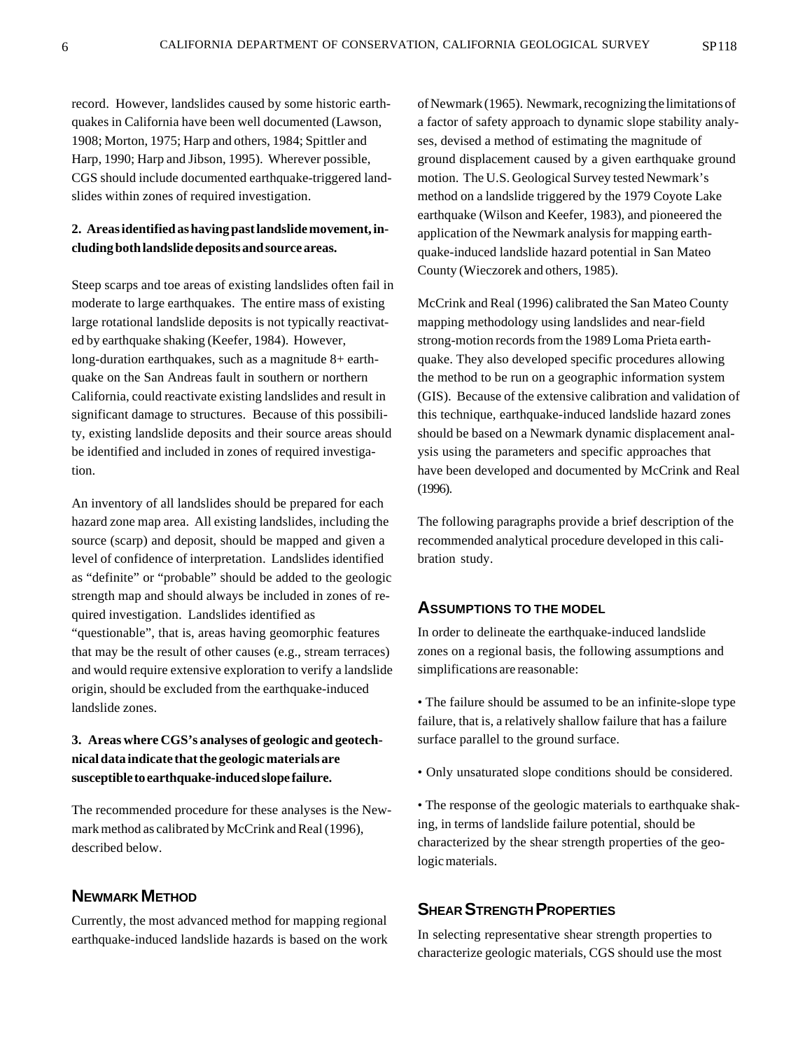record. However, landslides caused by some historic earthquakes in California have been well documented (Lawson, 1908; Morton, 1975; Harp and others, 1984; Spittler and Harp, 1990; Harp and Jibson, 1995). Wherever possible, CGS should include documented earthquake-triggered landslides within zones of required investigation.

#### **2. Areas identified as having past landslide movement, including both landslide deposits and source areas.**

Steep scarps and toe areas of existing landslides often fail in moderate to large earthquakes. The entire mass of existing large rotational landslide deposits is not typically reactivated by earthquake shaking (Keefer, 1984). However, long-duration earthquakes, such as a magnitude 8+ earthquake on the San Andreas fault in southern or northern California, could reactivate existing landslides and result in significant damage to structures. Because of this possibility, existing landslide deposits and their source areas should be identified and included in zones of required investigation.

An inventory of all landslides should be prepared for each hazard zone map area. All existing landslides, including the source (scarp) and deposit, should be mapped and given a level of confidence of interpretation. Landslides identified as "definite" or "probable" should be added to the geologic strength map and should always be included in zones of required investigation. Landslides identified as "questionable", that is, areas having geomorphic features that may be the result of other causes (e.g., stream terraces) and would require extensive exploration to verify a landslide origin, should be excluded from the earthquake-induced landslide zones.

### **3. Areas where CGS's analyses of geologic and geotechnical data indicate that the geologic materials are susceptible to earthquake-induced slope failure.**

The recommended procedure for these analyses is the Newmark method as calibrated by McCrink and Real (1996), described below.

### **NEWMARK METHOD**

Currently, the most advanced method for mapping regional earthquake-induced landslide hazards is based on the work of Newmark (1965). Newmark, recognizing the limitations of a factor of safety approach to dynamic slope stability analyses, devised a method of estimating the magnitude of ground displacement caused by a given earthquake ground motion. The U.S. Geological Survey tested Newmark's method on a landslide triggered by the 1979 Coyote Lake earthquake (Wilson and Keefer, 1983), and pioneered the application of the Newmark analysis for mapping earthquake-induced landslide hazard potential in San Mateo County (Wieczorek and others, 1985).

McCrink and Real (1996) calibrated the San Mateo County mapping methodology using landslides and near-field strong-motion records from the 1989 Loma Prieta earthquake. They also developed specific procedures allowing the method to be run on a geographic information system (GIS). Because of the extensive calibration and validation of this technique, earthquake-induced landslide hazard zones should be based on a Newmark dynamic displacement analysis using the parameters and specific approaches that have been developed and documented by McCrink and Real (1996).

The following paragraphs provide a brief description of the recommended analytical procedure developed in this calibration study.

#### **ASSUMPTIONS TO THE MODEL**

In order to delineate the earthquake-induced landslide zones on a regional basis, the following assumptions and simplifications are reasonable:

• The failure should be assumed to be an infinite-slope type failure, that is, a relatively shallow failure that has a failure surface parallel to the ground surface.

• Only unsaturated slope conditions should be considered.

• The response of the geologic materials to earthquake shaking, in terms of landslide failure potential, should be characterized by the shear strength properties of the geologic materials.

# **SHEAR STRENGTH PROPERTIES**

In selecting representative shear strength properties to characterize geologic materials, CGS should use the most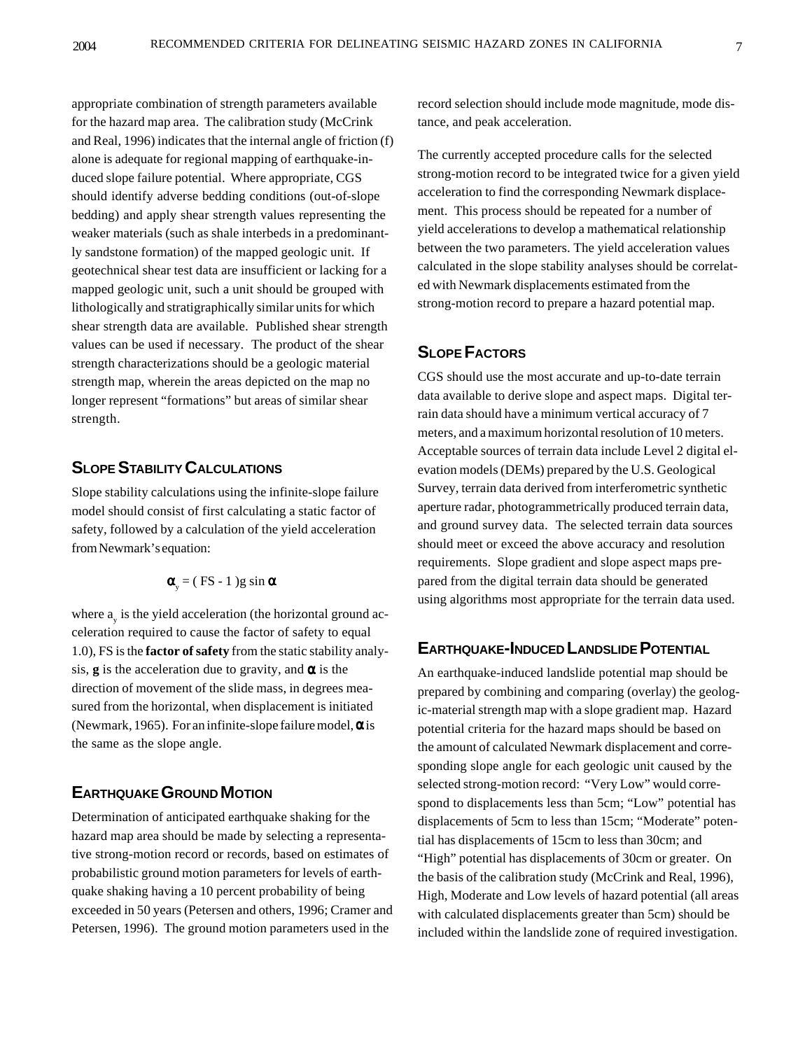appropriate combination of strength parameters available for the hazard map area. The calibration study (McCrink and Real, 1996) indicates that the internal angle of friction (f) alone is adequate for regional mapping of earthquake-induced slope failure potential. Where appropriate, CGS should identify adverse bedding conditions (out-of-slope bedding) and apply shear strength values representing the weaker materials (such as shale interbeds in a predominantly sandstone formation) of the mapped geologic unit. If geotechnical shear test data are insufficient or lacking for a mapped geologic unit, such a unit should be grouped with lithologically and stratigraphically similar units for which shear strength data are available. Published shear strength values can be used if necessary. The product of the shear strength characterizations should be a geologic material strength map, wherein the areas depicted on the map no longer represent "formations" but areas of similar shear strength.

## **SLOPE STABILITY CALCULATIONS**

Slope stability calculations using the infinite-slope failure model should consist of first calculating a static factor of safety, followed by a calculation of the yield acceleration from Newmark's equation:

$$
\mathbf{\alpha}_{y} = (\text{ FS} - 1) \text{ g} \sin \alpha
$$

where  $a_{y}$  is the yield acceleration (the horizontal ground acceleration required to cause the factor of safety to equal 1.0), FS is the **factor of safety** from the static stability analysis, **g** is the acceleration due to gravity, and  $\alpha$  is the direction of movement of the slide mass, in degrees measured from the horizontal, when displacement is initiated (Newmark, 1965). For an infinite-slope failure model,  $\alpha$  is the same as the slope angle.

# **EARTHQUAKE GROUND MOTION**

Determination of anticipated earthquake shaking for the hazard map area should be made by selecting a representative strong-motion record or records, based on estimates of probabilistic ground motion parameters for levels of earthquake shaking having a 10 percent probability of being exceeded in 50 years (Petersen and others, 1996; Cramer and Petersen, 1996). The ground motion parameters used in the

record selection should include mode magnitude, mode distance, and peak acceleration.

The currently accepted procedure calls for the selected strong-motion record to be integrated twice for a given yield acceleration to find the corresponding Newmark displacement. This process should be repeated for a number of yield accelerations to develop a mathematical relationship between the two parameters. The yield acceleration values calculated in the slope stability analyses should be correlated with Newmark displacements estimated from the strong-motion record to prepare a hazard potential map.

# **SLOPE FACTORS**

CGS should use the most accurate and up-to-date terrain data available to derive slope and aspect maps. Digital terrain data should have a minimum vertical accuracy of 7 meters, and a maximum horizontal resolution of 10 meters. Acceptable sources of terrain data include Level 2 digital elevation models (DEMs) prepared by the U.S. Geological Survey, terrain data derived from interferometric synthetic aperture radar, photogrammetrically produced terrain data, and ground survey data. The selected terrain data sources should meet or exceed the above accuracy and resolution requirements. Slope gradient and slope aspect maps prepared from the digital terrain data should be generated using algorithms most appropriate for the terrain data used.

### **EARTHQUAKE-INDUCED LANDSLIDE POTENTIAL**

An earthquake-induced landslide potential map should be prepared by combining and comparing (overlay) the geologic-material strength map with a slope gradient map. Hazard potential criteria for the hazard maps should be based on the amount of calculated Newmark displacement and corresponding slope angle for each geologic unit caused by the selected strong-motion record: "Very Low" would correspond to displacements less than 5cm; "Low" potential has displacements of 5cm to less than 15cm; "Moderate" potential has displacements of 15cm to less than 30cm; and "High" potential has displacements of 30cm or greater. On the basis of the calibration study (McCrink and Real, 1996), High, Moderate and Low levels of hazard potential (all areas with calculated displacements greater than 5cm) should be included within the landslide zone of required investigation.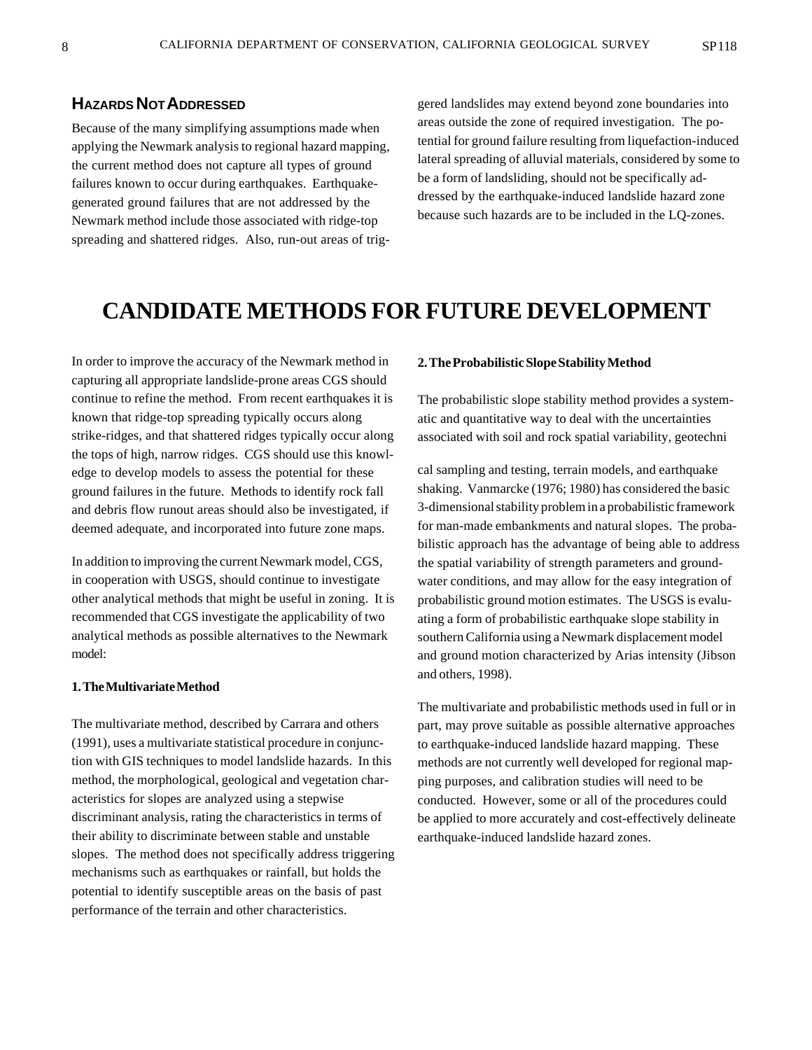# **HAZARDS NOT ADDRESSED**

Because of the many simplifying assumptions made when applying the Newmark analysis to regional hazard mapping, the current method does not capture all types of ground failures known to occur during earthquakes. Earthquakegenerated ground failures that are not addressed by the Newmark method include those associated with ridge-top spreading and shattered ridges. Also, run-out areas of triggered landslides may extend beyond zone boundaries into areas outside the zone of required investigation. The potential for ground failure resulting from liquefaction-induced lateral spreading of alluvial materials, considered by some to be a form of landsliding, should not be specifically addressed by the earthquake-induced landslide hazard zone because such hazards are to be included in the LQ-zones.

# **CANDIDATE METHODS FOR FUTURE DEVELOPMENT**

In order to improve the accuracy of the Newmark method in capturing all appropriate landslide-prone areas CGS should continue to refine the method. From recent earthquakes it is known that ridge-top spreading typically occurs along strike-ridges, and that shattered ridges typically occur along the tops of high, narrow ridges. CGS should use this knowledge to develop models to assess the potential for these ground failures in the future. Methods to identify rock fall and debris flow runout areas should also be investigated, if deemed adequate, and incorporated into future zone maps.

In addition to improving the current Newmark model, CGS, in cooperation with USGS, should continue to investigate other analytical methods that might be useful in zoning. It is recommended that CGS investigate the applicability of two analytical methods as possible alternatives to the Newmark model:

#### **1. The Multivariate Method**

The multivariate method, described by Carrara and others (1991), uses a multivariate statistical procedure in conjunction with GIS techniques to model landslide hazards. In this method, the morphological, geological and vegetation characteristics for slopes are analyzed using a stepwise discriminant analysis, rating the characteristics in terms of their ability to discriminate between stable and unstable slopes. The method does not specifically address triggering mechanisms such as earthquakes or rainfall, but holds the potential to identify susceptible areas on the basis of past performance of the terrain and other characteristics.

#### **2. The Probabilistic Slope Stability Method**

The probabilistic slope stability method provides a systematic and quantitative way to deal with the uncertainties associated with soil and rock spatial variability, geotechni

cal sampling and testing, terrain models, and earthquake shaking. Vanmarcke (1976; 1980) has considered the basic 3-dimensional stability problem in a probabilistic framework for man-made embankments and natural slopes. The probabilistic approach has the advantage of being able to address the spatial variability of strength parameters and groundwater conditions, and may allow for the easy integration of probabilistic ground motion estimates. The USGS is evaluating a form of probabilistic earthquake slope stability in southern California using a Newmark displacement model and ground motion characterized by Arias intensity (Jibson and others, 1998).

The multivariate and probabilistic methods used in full or in part, may prove suitable as possible alternative approaches to earthquake-induced landslide hazard mapping. These methods are not currently well developed for regional mapping purposes, and calibration studies will need to be conducted. However, some or all of the procedures could be applied to more accurately and cost-effectively delineate earthquake-induced landslide hazard zones.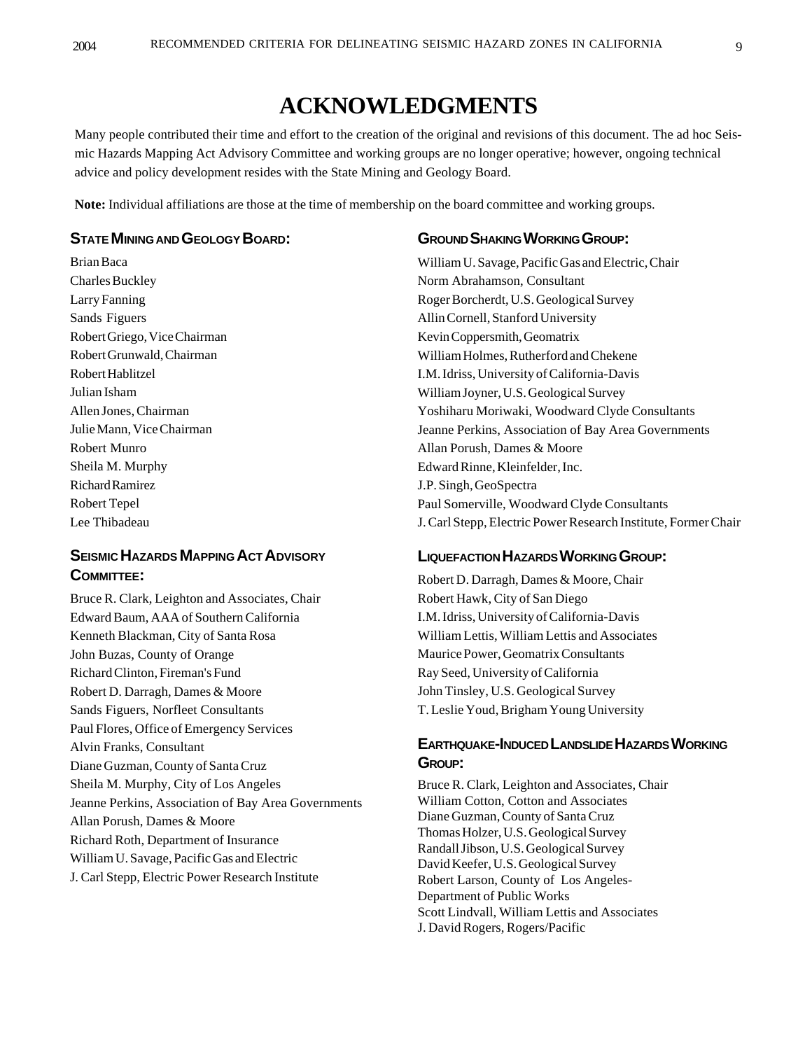# **ACKNOWLEDGMENTS**

Many people contributed their time and effort to the creation of the original and revisions of this document. The ad hoc Seismic Hazards Mapping Act Advisory Committee and working groups are no longer operative; however, ongoing technical advice and policy development resides with the State Mining and Geology Board.

**Note:** Individual affiliations are those at the time of membership on the board committee and working groups.

### **STATE MINING AND GEOLOGY BOARD:**

Brian Baca Charles Buckley Larry Fanning Sands Figuers Robert Griego, Vice Chairman Robert Grunwald, Chairman Robert Hablitzel Julian Isham Allen Jones, Chairman Julie Mann, Vice Chairman Robert Munro Sheila M. Murphy Richard Ramirez Robert Tepel Lee Thibadeau

# **SEISMIC HAZARDS MAPPING ACT ADVISORY COMMITTEE:**

Bruce R. Clark, Leighton and Associates, Chair Edward Baum, AAA of Southern California Kenneth Blackman, City of Santa Rosa John Buzas, County of Orange Richard Clinton, Fireman's Fund Robert D. Darragh, Dames & Moore Sands Figuers, Norfleet Consultants Paul Flores, Office of Emergency Services Alvin Franks, Consultant Diane Guzman, County of Santa Cruz Sheila M. Murphy, City of Los Angeles Jeanne Perkins, Association of Bay Area Governments Allan Porush, Dames & Moore Richard Roth, Department of Insurance William U. Savage, Pacific Gas and Electric J. Carl Stepp, Electric Power Research Institute

#### **GROUND SHAKING WORKING GROUP:**

William U. Savage, Pacific Gas and Electric, Chair Norm Abrahamson, Consultant Roger Borcherdt, U.S. Geological Survey Allin Cornell, Stanford University Kevin Coppersmith, Geomatrix William Holmes, Rutherford and Chekene I.M. Idriss, University of California-Davis William Joyner, U.S. Geological Survey Yoshiharu Moriwaki, Woodward Clyde Consultants Jeanne Perkins, Association of Bay Area Governments Allan Porush, Dames & Moore Edward Rinne, Kleinfelder, Inc. J.P. Singh, GeoSpectra Paul Somerville, Woodward Clyde Consultants J. Carl Stepp, Electric Power Research Institute, Former Chair

#### **LIQUEFACTION HAZARDS WORKING GROUP:**

Robert D. Darragh, Dames & Moore, Chair Robert Hawk, City of San Diego I.M. Idriss, University of California-Davis William Lettis, William Lettis and Associates Maurice Power, Geomatrix Consultants Ray Seed, University of California John Tinsley, U.S. Geological Survey T. Leslie Youd, Brigham Young University

# **EARTHQUAKE-INDUCED LANDSLIDE HAZARDS WORKING GROUP:**

Bruce R. Clark, Leighton and Associates, Chair William Cotton, Cotton and Associates Diane Guzman, County of Santa Cruz Thomas Holzer, U.S. Geological Survey Randall Jibson, U.S. Geological Survey David Keefer, U.S. Geological Survey Robert Larson, County of Los Angeles-Department of Public Works Scott Lindvall, William Lettis and Associates J. David Rogers, Rogers/Pacific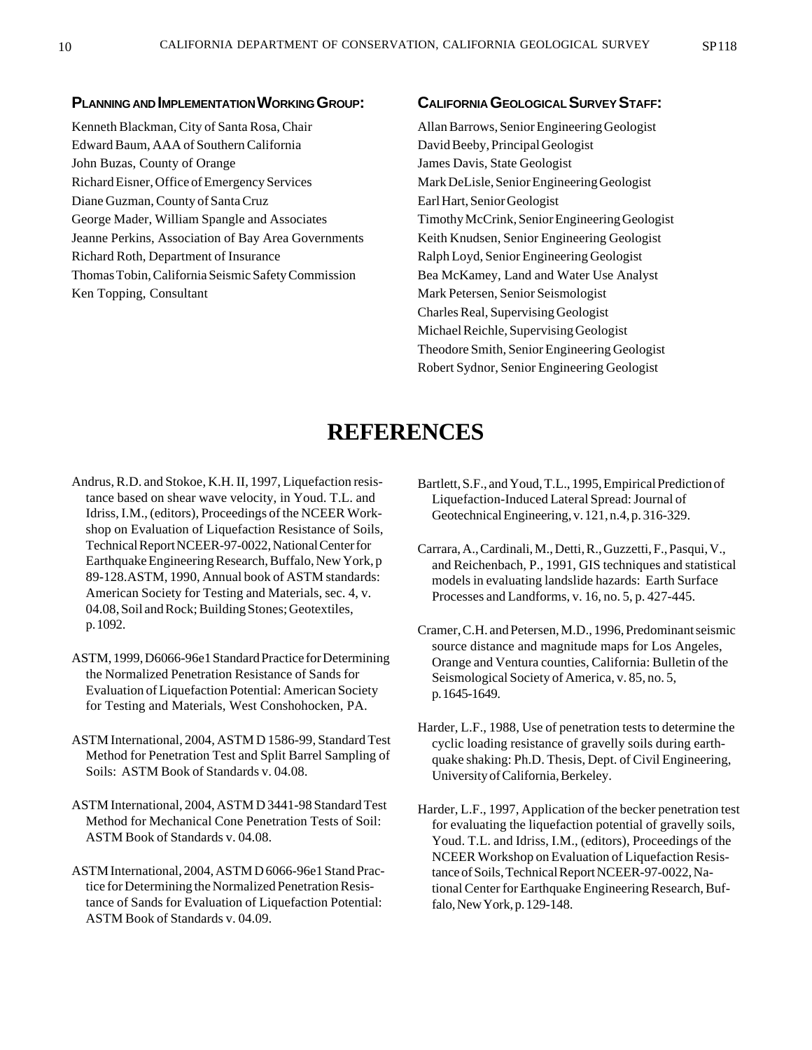#### **PLANNING AND IMPLEMENTATION WORKING GROUP:**

Kenneth Blackman, City of Santa Rosa, Chair Edward Baum, AAA of Southern California John Buzas, County of Orange Richard Eisner, Office of Emergency Services Diane Guzman, County of Santa Cruz George Mader, William Spangle and Associates Jeanne Perkins, Association of Bay Area Governments Richard Roth, Department of Insurance Thomas Tobin, California Seismic Safety Commission Ken Topping, Consultant

#### **CALIFORNIA GEOLOGICAL SURVEY STAFF:**

Allan Barrows, Senior Engineering Geologist David Beeby, Principal Geologist James Davis, State Geologist Mark DeLisle, Senior Engineering Geologist Earl Hart, Senior Geologist Timothy McCrink, Senior Engineering Geologist Keith Knudsen, Senior Engineering Geologist Ralph Loyd, Senior Engineering Geologist Bea McKamey, Land and Water Use Analyst Mark Petersen, Senior Seismologist Charles Real, Supervising Geologist Michael Reichle, Supervising Geologist Theodore Smith, Senior Engineering Geologist Robert Sydnor, Senior Engineering Geologist

# **REFERENCES**

- Andrus, R.D. and Stokoe, K.H. II, 1997, Liquefaction resistance based on shear wave velocity, in Youd. T.L. and Idriss, I.M., (editors), Proceedings of the NCEER Workshop on Evaluation of Liquefaction Resistance of Soils, Technical Report NCEER-97-0022, National Center for Earthquake Engineering Research, Buffalo, New York, p 89-128.ASTM, 1990, Annual book of ASTM standards: American Society for Testing and Materials, sec. 4, v. 04.08, Soil and Rock; Building Stones; Geotextiles, p. 1092.
- ASTM, 1999, D6066-96e1 Standard Practice for Determining the Normalized Penetration Resistance of Sands for Evaluation of Liquefaction Potential: American Society for Testing and Materials, West Conshohocken, PA.
- ASTM International, 2004, ASTM D 1586-99, Standard Test Method for Penetration Test and Split Barrel Sampling of Soils: ASTM Book of Standards v. 04.08.
- ASTM International, 2004, ASTM D 3441-98 Standard Test Method for Mechanical Cone Penetration Tests of Soil: ASTM Book of Standards v. 04.08.
- ASTM International, 2004, ASTM D 6066-96e1 Stand Practice for Determining the Normalized Penetration Resistance of Sands for Evaluation of Liquefaction Potential: ASTM Book of Standards v. 04.09.
- Bartlett, S.F., and Youd, T.L., 1995, Empirical Prediction of Liquefaction-Induced Lateral Spread: Journal of Geotechnical Engineering, v. 121, n.4, p. 316-329.
- Carrara, A., Cardinali, M., Detti, R., Guzzetti, F., Pasqui, V., and Reichenbach, P., 1991, GIS techniques and statistical models in evaluating landslide hazards: Earth Surface Processes and Landforms, v. 16, no. 5, p. 427-445.
- Cramer, C.H. and Petersen, M.D., 1996, Predominant seismic source distance and magnitude maps for Los Angeles, Orange and Ventura counties, California: Bulletin of the Seismological Society of America, v. 85, no. 5, p. 1645-1649.
- Harder, L.F., 1988, Use of penetration tests to determine the cyclic loading resistance of gravelly soils during earthquake shaking: Ph.D. Thesis, Dept. of Civil Engineering, University of California, Berkeley.
- Harder, L.F., 1997, Application of the becker penetration test for evaluating the liquefaction potential of gravelly soils, Youd. T.L. and Idriss, I.M., (editors), Proceedings of the NCEER Workshop on Evaluation of Liquefaction Resistance of Soils, Technical Report NCEER-97-0022, National Center for Earthquake Engineering Research, Buffalo, New York, p. 129-148.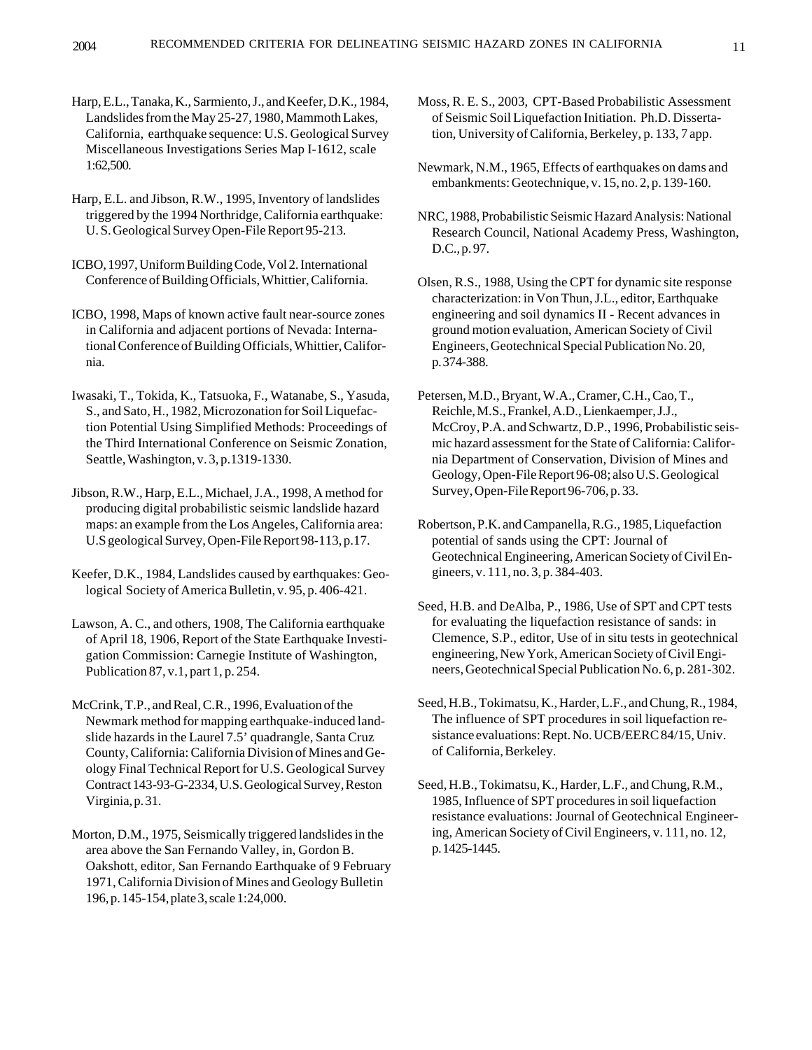Harp, E.L., Tanaka, K., Sarmiento, J., and Keefer, D.K., 1984, Landslides from the May 25-27, 1980, Mammoth Lakes, California, earthquake sequence: U.S. Geological Survey Miscellaneous Investigations Series Map I-1612, scale 1:62,500.

Harp, E.L. and Jibson, R.W., 1995, Inventory of landslides triggered by the 1994 Northridge, California earthquake: U. S. Geological Survey Open-File Report 95-213.

ICBO, 1997, Uniform Building Code, Vol 2. International Conference of Building Officials, Whittier, California.

ICBO, 1998, Maps of known active fault near-source zones in California and adjacent portions of Nevada: International Conference of Building Officials, Whittier, California.

Iwasaki, T., Tokida, K., Tatsuoka, F., Watanabe, S., Yasuda, S., and Sato, H., 1982, Microzonation for Soil Liquefaction Potential Using Simplified Methods: Proceedings of the Third International Conference on Seismic Zonation, Seattle, Washington, v. 3, p.1319-1330.

Jibson, R.W., Harp, E.L., Michael, J.A., 1998, A method for producing digital probabilistic seismic landslide hazard maps: an example from the Los Angeles, California area: U.S geological Survey, Open-File Report 98-113, p.17.

Keefer, D.K., 1984, Landslides caused by earthquakes: Geological Society of America Bulletin, v. 95, p. 406-421.

Lawson, A. C., and others, 1908, The California earthquake of April 18, 1906, Report of the State Earthquake Investigation Commission: Carnegie Institute of Washington, Publication 87, v.1, part 1, p. 254.

McCrink, T.P., and Real, C.R., 1996, Evaluation of the Newmark method for mapping earthquake-induced landslide hazards in the Laurel 7.5' quadrangle, Santa Cruz County, California: California Division of Mines and Geology Final Technical Report for U.S. Geological Survey Contract 143-93-G-2334, U.S. Geological Survey, Reston Virginia, p. 31.

Morton, D.M., 1975, Seismically triggered landslides in the area above the San Fernando Valley, in, Gordon B. Oakshott, editor, San Fernando Earthquake of 9 February 1971, California Division of Mines and Geology Bulletin 196, p. 145-154, plate 3, scale 1:24,000.

Moss, R. E. S., 2003, CPT-Based Probabilistic Assessment of Seismic Soil Liquefaction Initiation. Ph.D. Dissertation, University of California, Berkeley, p. 133, 7 app.

Newmark, N.M., 1965, Effects of earthquakes on dams and embankments: Geotechnique, v. 15, no. 2, p. 139-160.

NRC, 1988, Probabilistic Seismic Hazard Analysis: National Research Council, National Academy Press, Washington, D.C., p. 97.

Olsen, R.S., 1988, Using the CPT for dynamic site response characterization: in Von Thun, J.L., editor, Earthquake engineering and soil dynamics II - Recent advances in ground motion evaluation, American Society of Civil Engineers, Geotechnical Special Publication No. 20, p. 374-388.

Petersen, M.D., Bryant, W.A., Cramer, C.H., Cao, T., Reichle, M.S., Frankel, A.D., Lienkaemper, J.J., McCroy, P.A. and Schwartz, D.P., 1996, Probabilistic seismic hazard assessment for the State of California: California Department of Conservation, Division of Mines and Geology, Open-File Report 96-08; also U.S. Geological Survey, Open-File Report 96-706, p. 33.

Robertson, P.K. and Campanella, R.G., 1985, Liquefaction potential of sands using the CPT: Journal of Geotechnical Engineering, American Society of Civil Engineers, v. 111, no. 3, p. 384-403.

Seed, H.B. and DeAlba, P., 1986, Use of SPT and CPT tests for evaluating the liquefaction resistance of sands: in Clemence, S.P., editor, Use of in situ tests in geotechnical engineering, New York, American Society of Civil Engineers, Geotechnical Special Publication No. 6, p. 281-302.

Seed, H.B., Tokimatsu, K., Harder, L.F., and Chung, R., 1984, The influence of SPT procedures in soil liquefaction resistance evaluations: Rept. No. UCB/EERC 84/15, Univ. of California, Berkeley.

Seed, H.B., Tokimatsu, K., Harder, L.F., and Chung, R.M., 1985, Influence of SPT procedures in soil liquefaction resistance evaluations: Journal of Geotechnical Engineering, American Society of Civil Engineers, v. 111, no. 12, p. 1425-1445.